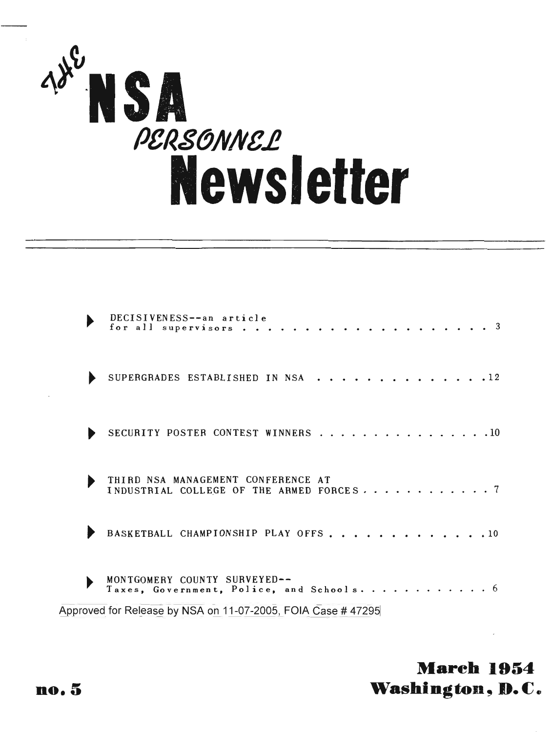

| DECISIVENESS--an article<br>for all supervisors                                                                                        |  |
|----------------------------------------------------------------------------------------------------------------------------------------|--|
| SUPERGRADES ESTABLISHED IN NSA                                                                                                         |  |
| SECURITY POSTER CONTEST WINNERS 10                                                                                                     |  |
| THIRD NSA MANAGEMENT CONFERENCE AT<br>INDUSTRIAL COLLEGE OF THE ARMED FORCES7                                                          |  |
| BASKETBALL CHAMPIONSHIP PLAY OFFS 10                                                                                                   |  |
| MONTGOMERY COUNTY SURVEYED--<br>Taxes, Government, Police, and Schools<br>Approved for Release by NSA on 11-07-2005, FOIA Case # 47295 |  |

**Mareh 1954**  $W$ ashington, D.C.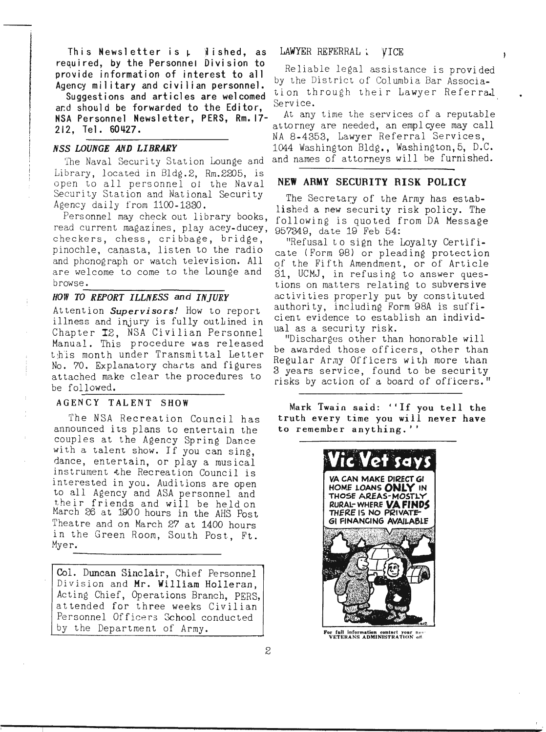This Newsletter is  $\mu$   $\beta$  ished, as LAWYER REFERRAL  $\alpha$  VICE required, by the Personnel Division to Reliable legal assistance is provided

Suggestions and articles are welcomed tion through their Lawyer Referral<br>and should be forwarded to the Editor, Service.<br>NSA Personnel Newsletter, PERS, Rm. 17- At any time the services of a reputable

ing pagkapatèn Kabupatèn Kanal

 $\label{eq:2.1} \begin{aligned} \mathcal{P} &\mapsto \mathcal{P}(\mathcal{P}(\mathcal{P}(\mathcal{P}(\mathcal{P}(\mathcal{P}(\mathcal{P}(\mathcal{P}(\mathcal{P}(\mathcal{P}(\mathcal{P}(\mathcal{P}(\mathcal{P}(\mathcal{P}(\mathcal{P}(\mathcal{P}(\mathcal{P}(\mathcal{P}(\mathcal{P}(\mathcal{P}(\mathcal{P}(\mathcal{P}(\mathcal{P}(\mathcal{P}(\mathcal{P}(\mathcal{P}(\mathcal{P}(\mathcal{P}(\mathcal{P}(\mathcal{P}(\mathcal{P}(\mathcal{P}(\mathcal{$ 

Library, located in Bldg.2, Rm.2205, is open to all personnel ot the Naval Security Station and National Security Agency dai ly from 1100-1330.

Personnel may check out library books, read current magazines, play acey-ducey, checkers, chess, cribbage, bridge, pinochle, canasta, listen to the radio and phonograph or watch television. All are welcome to come to the Lounge and

## browse.------------- *HOW TO REPORT ILLNESS and INJURY*

Attention *Supervisors!* How to report illness and injury is fully outlined in Chapter 12, NSA Civilian Personnel Manual. This procedure was released t:h'is month under Transmi ttal Letter No. 70. Explanatory charts and figures attached make clear the procedures to be followed.

#### AGENCY TALENT SHOW

The NSA Recreation Council has announced its plans to entertain the couples at the Agency Spring Dance with a talent show. If you can sing, dance, entertain, or playa musical instrument the Recreation Council is interested in you. Auditions are open to all Agency and ASA personnel and their friends and will be heldon Harch 26 at 1900 hours in the AHS Post Theatre and on March 27 at 1400 hours in the Green Room, South Post, Ft. Myer.

Col. Duncan Sinclair, Chief Personnel Division and Mr. William Holleran, Acting Chief, Operations Branch, PERS, attended for three weeks Civilian Personnel Officers School conducted by the Department of Army.

provide information of interest to all heriable regal assistance is provided<br>Agency military and civilian personnel.

•

 $\lambda$ 

attorney are needed, an employee may call 212, Tel. 60427.<br>NA 8-4353, Lawyer Referral Services, *NSS LOUNGE AND LIBRARY* 1044 Washington Bldg., Washington, 5, D.C. The Naval Security Station Lounge and and names of attorneys will be furnished.

#### NEW ARMY SECURITY RISK POLICY

The Secretary of the Army has established a new security risk policy. The following is quoted from DA Message 957349, date 19 Feb 54:

"Refusal to sign the Loyalty Certificate (Form 98) or pleading protection of the Fifth Amendment, or of Article 31, UCMJ, in refusing to answer questions on matters relating to subversive activities properly put by constituted authority, including Form 98A is suffi $$ cient evidence to establish an individual as a security risk.

"Discharges other than honorable will be awarded those officers, other than Regular Army Officers with more than 3 years service, found to be security risks by action of a board of officers."

Mark Twain said: 4'If you tell the truth every time you will never have to remember anything."



For full information contact your near-<br>VETERANS ADMINISTRATION off.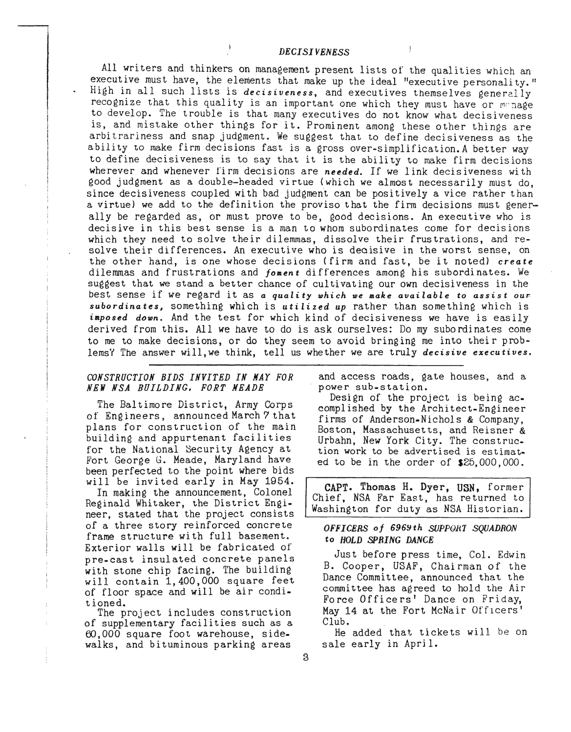#### *DECISIVENESS*

All writers and thinkers on management present lists of the qualities which an executive must have, the elements that make up the ideal "executive personali ty." High in all such lists is *decisiveness,* and executives themselves generclly recognize that this quality is an important one which they must have or monage to *develop.* The trouble is that many executives do not know what decisiveness is, and mistake other things for it. Prominent among these other things are arbitrariness and snap judgment. We suggest that to define decisiveness as the ability to make firm decisions fast is a gross over-simplification.A better way to define decisiveness is to say that it is the ability to make firm decisions wherever and whenever firm decisions are *needed.* If we link decisiveness with good judgment as a double-headed virtue (which we almost necessarily must do, since decisiveness coupled with bad judgment can be positively a vice rather than a virtue} we add to the definition the proviso that the firm decisions must generally be regarded as, or must prove to be, good decisions. An executive who is decisive in this best sense is a man to whom subordinates come for decisions which they need to solve their dilemmas, dissolve their frustrations, and resolve their differences. An executive who is decisive in the worst sense, on the other hand, is one whose decisions (firm and fast, be it noted) *create* dilemmas and frustrations and *foment* differences among his subordinates. We suggest that we stand a better chance of cultivating our own decisiveness in the best sense if we regard it as *<sup>a</sup> quality which we make available* to *assist oursubordinates,* something which is *utilized up* rather than something which is *imposed down.* And the test for which kind of decisiveness we have is easily derived from this. All we have to do is ask ourselves: Do my subordinates come to me to make decisions, or do they seem to avoid bringing me into their problems" The answer will, we think, tell us whether we are truly *decisive executives.*

#### *CONSTRUCTION BIDS INVITED IN NAY FOR NEi NSA BUILDING. FORT MEADE*

The Baltimore District, Army Corps of Eng ineers, announced March 7 that plans for construction of the main building and appurtenant facilities for the National Security Agency at Fort George G. Meade, Maryland have been perfected to the point where bids will be invited early in May 1954.

In making the announcement, Colonel Reginald Whitaker, the District Engineer, stated that the project consists of a three story reinforced concrete frame structure with full basement. Exterior walls will be fabricated of pre-cast insulated concrete panels with stone chip facing. The building will contain 1,400,000 square feet of floor space and will be air condit ioned.

The project includes construction of supplementary facilities such as a 60,000 square foot warehouse, sidewalks, and bituminous parking areas

and access roads, gate houses, and a power sub-station.

Design of the project is being accomplished by the Architect-Engineer firms of Anderson-Nichols & Company, Boston, Massachusetts, and Reisner & Urbahn, New York City. The construction work to be advertised is estimated to be in the order of \$25,000,000.

CAPT. Thomas H. Dyer, USN, former Chief, NSA Far East, has returned to Washington for duty as NSA Historian.

#### *OFFICERS of 696Y th SUPPQRl SQUADRON* to *HOLD SPRING DANCE*

Just before press time, Col. Edwin B. Cooper, USAF, Chairman of the Dance Committee, announced that the committee has agreed to hold the Air Force Officers' Dance on Friday, May 14 at the Fort McNair Officers' Club.

He added that tickets will be on sale early in April.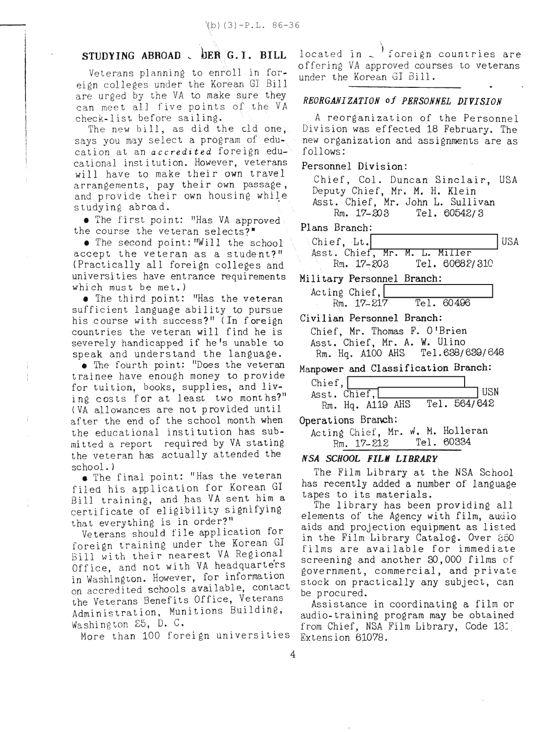### STUDYING ABROAD : DER G.I. BILL

Veterans planning to enroll in foreign colleges under the Korean\GJ Bill are urged by the VA to make sure they can meet all five points of the  $VA$ check-list before sailing.

The new bill, as did the cld one, says you may select a program of education at an *accredited* foreign educational institution. However, veterans will have to make their own travel arrangements, pay their own passage\, and provide their own housing while studying abroad.

• The first point: "Has VA approved the course the veteran selects?"

• The second point: "Will the school accept the veteran as a student?" (Practically all foreign colleges and universities have entrance requirements which must be met.)

• The third point: "Has the veteran sufficient language ability to pursue his course with success?" (In foreign countries the veteran will find he is severely handicapped if he's unable to speak and understand the language.

• The fourth point: "Does the veteran trainee have enough money to provide for tuition, books, supplies, and living costs for at least two months?" (VA allowances are not provided until after the end of the school month when the educational institution has submi tted a report required by VA stating the veteran has actually attended the

school.)<br>• The final point: "Has the veteran filed his application for Korean GI Bill training, and has VA sent him a certificate of eligibility signifying that everything is in order?"

Veterans should file application for foreign training under the Korean GI Bill with their nearest VA Regional Office, and not with VA headquarters in Washington. However, for information on accredited schools available, contact the Veterans Benefits Office, Veterans Administration, Munitions Building, Washington 25, D. C.

More than 100 foreign universities Extension 61078.

located in  $\sim$  foreign countries are offering VA approved courses to veterans under the Korean G1 Bill.

#### *REORGANIZATION of PERSONNEL DIVISION*

,

A reorganization of the Personnel Division was effected 18 February. The new organization and assignments are as follows:

#### Personnel Division:

Chief, Col. Duncan Sinclair, USA Deputy Chief, Mr. M. H. Klein Asst. Chief, Mr. John L. Sullivan  $Rm. 17-203$  Tel. 60542/3

| Plans Branch:                 |  |                |     |
|-------------------------------|--|----------------|-----|
| Chief, Lt.                    |  |                | USA |
| Asst. Chief, Mr. M. L. Miller |  |                |     |
| $Rm. 17 - 203$                |  | Tel. 60682/310 |     |

Military Personnel Branch:

| Treat's rerpointer prenent |  |            |  |
|----------------------------|--|------------|--|
| Acting Chief,              |  |            |  |
| Rm. 17-217                 |  | Tel. 60496 |  |

Civilian Personnel Branch:

Chief,  $Mr.$  Thomas F. O'Brien Asst. Chief, Mr. A. W. Ulino<br>Rm. Hg. A100 AHS Tel.638/639/648  $Rm.$   $Hq.$   $A100$   $AHS$ 

Manpower and Classification Branch:

| Chief, $\ $    |                  |  |              |     |
|----------------|------------------|--|--------------|-----|
| Asst. Chief, L |                  |  |              | USN |
|                | Rm. Hq. A119 AHS |  | Tel. 564/642 |     |

Operations Branch:

Acting Chief, Mr. W. M. Holleran Rm. 17-212 Tel. 60334

#### *N"SA SCHOOL FILM LIBRARY*

The Film Library at the NSA School has recently added a number of language tapes to its materials.

The library has been providing all elements of the Agency with film, audio aids and projection equipment as listed in the Film Library Catalog. Over 850 films are available for immediate screening and another 30,000 films of government, commercial, and private stock on practically any subject, can be procured.

Assistance in coordinating a film or audio-training program may be obtained from Chief, NSA Film Library, Code 13: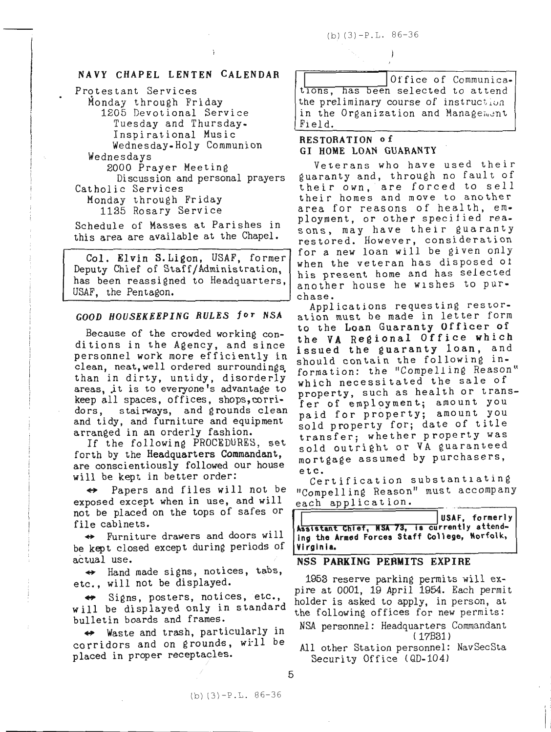#### NAVY CHAPEL LENTEN CALENDAR

Protestant Services Monday through Friday 1205 Devotional Service Tuesday and Thursday. Inspirational Music Wednesday-Holy Communion Wednesdays 2000 Prayer Meeting Discussion and personal prayers Catholic Services Monday through Friday 1135 Rosary Service

Schedule of Masses at Parishes in this area are available at the Chapel.

Col. Elvin S.Ligon, USAF, former Deputy Chief of Staff/Administration has been reassigned to Headquarters, USAF, the Pentagon.

because of the crowned working con-<br>ditions in the Agency, and since : squed the duaranty loan and personnel work more efficiently in issued the guaranty loan, and personner work more erriciently in should contain the following in-<br>clean, neat, well ordered surroundings. segmetion: the "Compelling Reason when in ulley, untity, ulsorderly which necessitated the sale of areas, it is to everyone's advantage to moneouty such as health or tran keep all spaces, offices, shops, corri-<br>dors, stairways, and grounds clean naid for property, amount you aors, stairways, and grounds clean paid for property; amount you<br>and tidy, and furniture and equipment cold property for, date of title and they, and infiniture and equipment<br>arranged in an orderly fashion.<br>transfers whether property was

rurth by the neauquarters commandant, mortgage assumed by purchasers,<br>are conscientiously followed our house<br>etc. will be kept in better order:

exposed except when in use, and will not be "Compelling Reason" must accompany<br>not be placed on the tops of safes or<br>file cabinets. exposed except when in use, and will each application.<br>not be placed on the tops of safes or  $\sqrt{\frac{1}{n}}$ 

be kept closed except during periods of *Virginia*.

actual use.<br>  $\leftrightarrow$  Hand made signs, notices, tabs,  $\leftrightarrow$  Hand made signs, notices, tabs,

will be displayed only in standard holder is asked to apply, in person, at will be displayed only in standard the following offices for new nermits: will be displayed only in standard the following offices for new permits:<br>bulletin boards and frames.<br>MSA personnel: Headquarters Commandant

→ Waste and trash, particularly in NSA personnel: Headquarters (17831) corridors and on grounds, will be All other Station personnel: NavSecSta placed in proper receptacles. All other Station personnel:<br>Security Office (QD-104)

Office of Communications, has been selected to attend the preliminary course of instruction in the Organization and Manage<sub>ment</sub> Field.

#### RESTORATION of GI HOME LOAN GUARANTY

Veterans who have used their guaranty and, through no fault of their own, are forced to sell their homes and move to another area for reasons of health, employment, or other specified reasons, may have their guaranty restored. However, consideration for a new loan will be given only when the veteran has disposed 01 his present home and has selected another house he wIshes to pur-

chase.<br>Applications requesting restor-*GOOD HOUSEKEEPING RULES for NSA* ation must be made in letter form Because of the crowded working con- to the Loan Guaranty Officer of crean, neat, well ordered surroundings, formation: the "Compelling Reason"<br>than in dirty, untidy, disorderly, thich pecessitated the sale of areas, to is to everyone s advantage to property, such as health or trans-<br>keep all spaces, offices, shops, corri- fer of employment: amount you ranged in an orderly lasnion.<br>If the following PROCEDURES, set said outright or VA quaranteed It the forthowing radiounts, set<br>forth by the Headquarters Commandant, sold outright or VA guaranteed

racy in better order.<br>Papers and files will not be "Compelling Reason" must accompan

The cabinets.<br>Furniture drawers and doors will assistant Chief, NSA 73, is currently attend-<br>ing the Armed Forces Staff College, Norfolk,

etc., will not be displayed. 1953 reserve parking permits will ex- $\leftrightarrow$  Signs, posters, notices, etc., polder is asked to apply in person at

5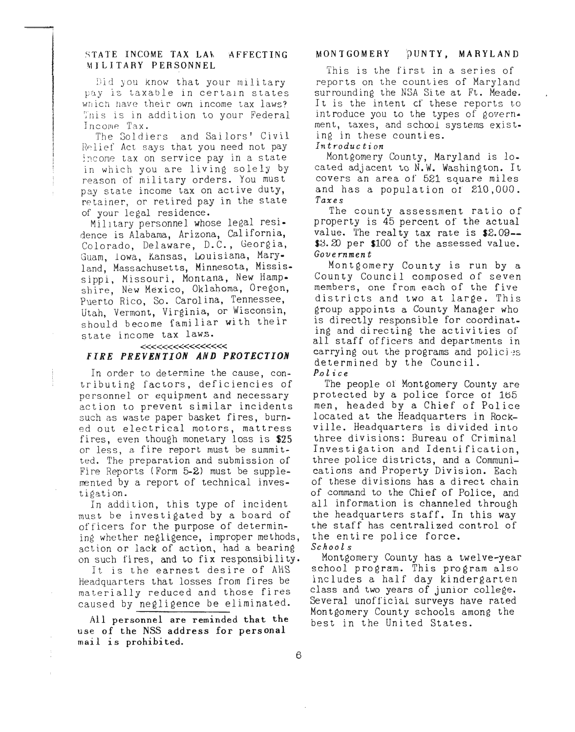#### STATE INCOME TAX LAW AFFECTING MILITARY PERSONNEL

Did you know that your military pay is taxable in certain states wnich have their own income tax laws? which have their own income tax faws?<br>This is in addition to your Federal Income 'Tax.

The Soldiers and Sailors' Civil Relief Act says that you need not pay income tax on service pay in a state in which you are living solely by reason of military orders. You must pay state income tax on active duty, retainer, or retired pay in the state of your legal residence.

MilItary personnel whose legal residence is Alabama, Arizona, California, Colorado, Delaware, D.C., Georgia, Guam, lowa, Kansas, Louisiana, Maryland, Massachusetts, Minnesota, Mississippi, Missouri, Montana, New Hampshire, New Mexico, Oklahoma, Oregon, Puerto Rico, So. Carolina, Tennessee, Utah, Vermont, Virginia, or Wisconsin, should become familiar with their state income tax laws.

#### «««««««« *FIRE PREVENTION AND PROTECTION*

In order to determine the cause, contributing factors, deficiencies of personnel or equipment and necessary action to prevent similar incidents such as waste paper basket fires, burn· ed out electrical motors, mattress fires, even though monetary loss is \$25 or less, a fire report must be summitted. The preparation and submission of Fire Reports (Form 5-2) must be supplemented by a report of technical investigation.

In addition, this type of incident must be investigated by a board of officers for the purpose of determining whether negligence, improper methods, action or lack of action, had a bearing on such fires, and to fix responsibility.

It is the earnest desire of AHS Headquarters that losses from fires be materially reduced and those fires caused by negligence be eliminated.

All personnel are reminded that the use of the NSS address for personal mail is prohibited.

 $\pm$ 

#### MONTGOMERY pUNTY, MARYLAND

This is the first in a series of reports on the counties of Maryland surrounding the NSA Site at Ft. Meade. It is the intent cf these reports to introduce you to the types of govern. ment, taxes, and school systems exist. ing in these counties.

*Introduction*

Montgomery County, Maryland is 10. cated adjacent to N.W. Washington. It covers an area of 521 square miles and has a population of 210,000. *Taxes*

The county assessment ratio of property is 45 percent of the actual value. The realty tax rate is  $$2.09--$ \$3.20 per \$100 of the assessed value. *Governmen* t

Montgomery County is run by a County Council composed of seven members, one from each of the five districts and two at large. This group appoints a County Manager who is directly responsible for coordinating and directing the activities of all staff officers and departments in carrying out the programs and policies determined by the Council. *P.olice*

The people or Montgomery County are protected by a police force ot Ib5 men, headed by a Chief of Police located at the Headquarters in Rockville. Headquarters is divided into three divisions: Bureau of Criminal Investigation and Identification, three police districts, and a Communications and Property Division. Each of these divisions has a direct chain of command to the Chief of Police, and all information is channeled through the headquarters staff. In this way the staff has centralized control of the entire police force.

*Schools*

Montgomery County has a twelve-year school program. This program also includes a half day kindergarten class and two years of junior college. Several unofficial surveys have rated Montgomery County schools among the best in the United States.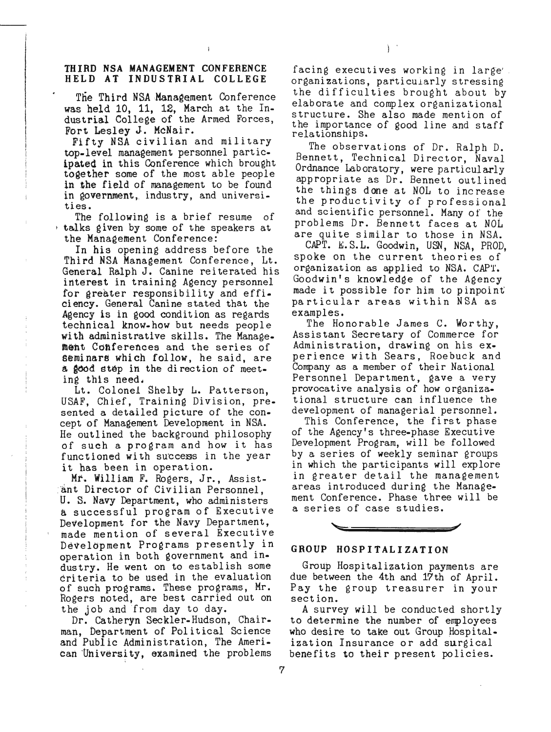#### THIRD NSA MANAGEMENT CONFERENCE HELD AT INDUSTRIAL COLLEGE

The Third NSA Management Conference was held 10, 11, 12, March at the Industrial College of the Armed Forces, Fort Lesley J. McNair.

Fifty NSA civilian and military top-level management personnel partic- ipated in this Conference which brought together some of the most able people in the field of management to be found in government, industry, and universities.

The following is a brief resume of  $\pm$  talks given by some of the speakers at the Management Conference:

In his opening address before the Third NSA Management Conference, Lt. General Ralph J. Canine reiterated his interest in training Agency personnel for greater responsibility and efficiency. General Canine stated that the Agency is in good condition as regards technical know-how but needs people<br>with administrative skills. The Management Conferences and the series of seminars which follow, he said, are a good step in the direction of meet.

ing this need.<br>Lt. Colonel Shelby L. Patterson, USAF, Chief, Training Division, presented a detailed picture of the concept of Management Development in NSA. He outlined the background philosophy of such <sup>a</sup> program and how it has functioned with success in the year it has been in operation.

. Mr. William F. Rogers, Jr., Assist ant Director of Civilian Personnel, U. S. Navy Department, who administers a successful program of Executive Development for the Navy Department, made mention of several Executive Development Programs presently in operation in both government and industry. He went on to establish some criteria to be used in the evaluation of such programs. These programs, Mr. Rogers noted, are best carried out on the job and 'from day to day.

Dr. Catheryn Seckler-Hudson, Chairman, Department of Political Science and Public Administration, The Ameri. Can 'Universi ty, examined the problems facing executives working in large'.<br>organizations, particularly stressing the difficulties brought about by elaborate and complex organizational structure. She also made mention of the importance of good line and staff rela tionships.

The observations of Dr. Ralph D. Bennett, Technical Director, Naval Ordnance. Laboratory, were particularly approprlate as Dr. Bennett outlined the things done at NOL to increase the productivity of professional and scientific personnel. Many of the problems Dr. Bennett faces at NoL are quite similar to those in NSA.

CAPT. E.S.L. Goodwin, USN, NSA, PROD, spoke on the current theories of organization as applied to NSA. CAPT. Goodwin's knowledge of the Agency made it possible for him to pinpoint particular areas within NSA as examples.

The Honorable James C. Worthy, Assistant Secretary of Commerce for Administration, drawing on his ex· perience with Sears, Roebuck and Company as a member of their National Personnel Department, gave a very provocative analysis of how organiza. tional structure can influence the development of managerial personnel.

This Conference, the first phase of the Agency's three.phase Executive Development Program, will be followed by a series of weekly seminar groups in which the participants will explore in greater detail the management areas introduced during the Manage. ment Conference. Phase three will be a series of case studies.



#### GROUP HOSPITALIZATION

Group Hospitalization payments are due between the 4th and 17th of April. Pay the group treasurer in your section.

A survey will be conducted shortly to determine the number of employees who desire to take out Group  $H$ ospital. ization Insurance or add surgical benefits to their present policies.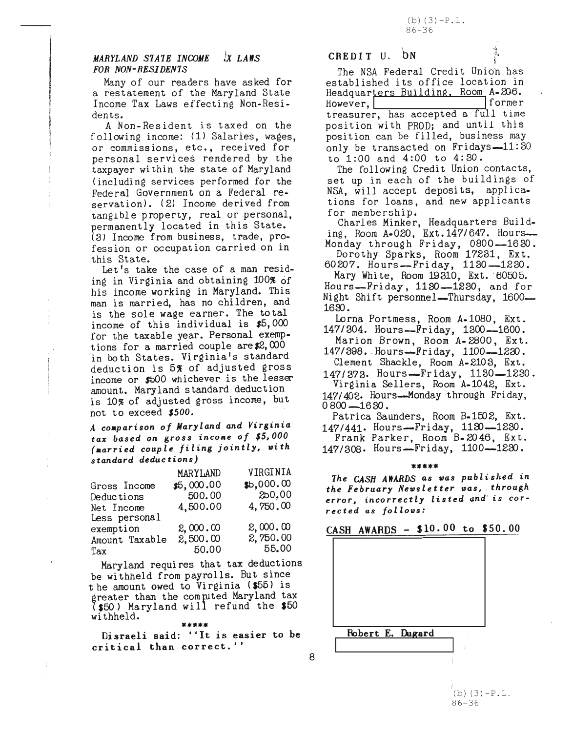#### $IX$  *LAWS* MARYLAND STATE INCOME FOR NON-RESIDENTS

Many of our readers have asked for a restatement of the Maryland State Income Tax Laws effecting Non-Residen ts.

A Non-Resident is taxed on the following income: (1) Salaries, wages, or commissions, etc., received for personal services rendered by the taxpayer within the state of Maryland (including services performed for the Federal Government on a Federal reservation). (2) Income derived from tangible property, real or personal, permanently located in this State. {3J Income from business, trade, profession or occupation carried on in this State.

Let's take the case of a man residing in Virginia and obtaining 100% of his income working in Maryland. This man is married, has no children, and is the sole wage earner. The total income of this individual is \$5,000 for the taxable year. Personal exemptions for a married couple are  $2,000$ in both States. Virginia's standard deduction is 5% of adjusted gross income or \$bOO Whichever is the lesser amount. Maryland standard deduction is 10% of adjusted gross income, but not to exceed *\$500.*

<sup>A</sup> *coaparison of Maryland and Virginia tax based on gross inco.e of \$5,000 (aarried couple filing jointly, with standard deductions)*

|                | MARYLAND   | VIRGINIA   |
|----------------|------------|------------|
| Gross Income   | \$5,000.00 | \$b,000.00 |
| Deductions     | 500.00     | 250.00     |
| Net Income     | 4,500.00   | 4,750.00   |
| Less personal  |            |            |
| exemption      | 2,000,00   | 2,000.00   |
| Amount Taxable | 2,500.00   | 2,750.00   |
| Tax            | 50.00      | 55.00      |

Maryland requires that tax deductions be withheld from payrolls. But since the amount owed to Virginia (\$55) is greater than the computed Maryland tax {\$50) Maryland will refund the \$50 withheld.

\*\*\*\*\* Disraeli said: "It is easier to be critical than correct."

 $\mathbf{D}\mathbf{N}$ CREDIT U.  $\mathbf{\hat{D}}\mathbf{N}$   $\mathbf{\hat{\hat{\theta}}}$ .

The NSA Federal Credit Union has established its office location in Headquarters Building. Room A.206. However, **Interset Building, Room** A. 200.<br>However, former treasurer, has accepted a full time position with PROD; and until this position can be filled, business may only be transacted on Fridays $-11:30$ to 1:00 and 4:00 to 4:30.

The following Credit Union contacts, set up in each of the buildings of NSA, will accept deposits, applications for loans, and new applicants

for membership. Charles Minker, Headquarters Building, Room A-020, Ext. 147/647. Hours-Monday through Friday, 0800-1630.

Dorothy Sparks, Room 17231, Ext. 60207. Hours-Fri day, 1130-1230.

Mary White, Room 19310, Ext. 60505. Hours--Friday, 1130--1230, and for Night Shift personnel—Thursday,  $1600$ —  $1630.$ 

Lorna Portmess, Room A-lOBO, Ext. 147/304. Hours--Friday, 1300--1600.

Marion Brown, RoomA-2800, Ext. 147/398. Hours-Friday, 1100-1230.

Clement Shackle, Room A-2103, Ext.

147/373. Hours-Friday, 1130-1230. Virginia Sellers, Room A.1042, Ext. *147/402.* Hours--Monday ·through Friday,  $0800 - 1630$ .

Patrica Saunders, Room B-1502, Ext. 147/441. Hours--Friday, 1120--1230.

Frank Parker, Room B.2046, Ext. 147/308. Hours--Friday, *1100--1220.*

## \*\*\*\*\*

*The* CASH AWARDS *as was pub l* i *shed* in *the February Newsl e* <sup>t</sup> *ter was,* \_*through error, incorrectly listed and is corrected as follows:*

## $CASH$  AWARDS - \$10.00 to \$50.00



8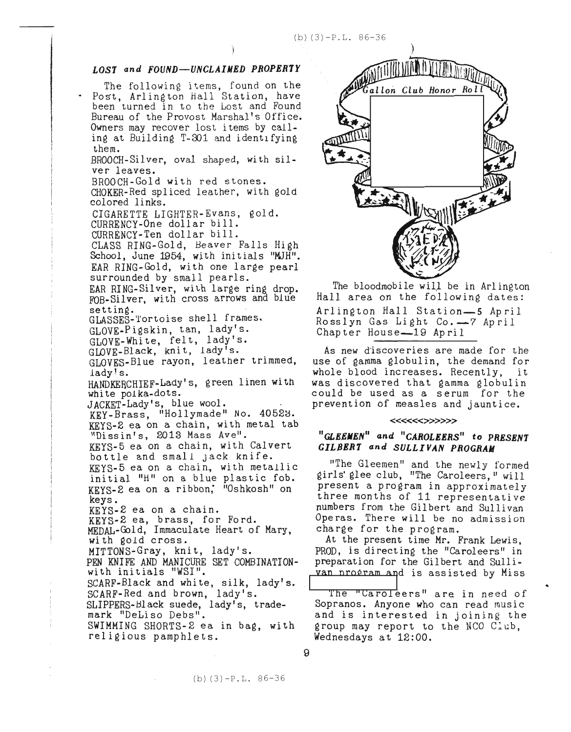#### *LOS1 and FOUND--UNCLAIMED PROPERTY*

The following items, found on the . Post, Arlington Hall Station, have been turned in to the Lost and Found Bureau of the Provost Marshal's Office. Owners may recover lost items by calling at Building T-301 and identifying them.

BROOCH-Silver, oval shaped, with silver leaves.

BROOCH-Gold with red stones.

CHOKER-Red spliced leather, with gold colored links.

CIGARETTE LIGHTER-Evans, gold. CURRENCY-One dollar bill.

CURRENCY-Ten dollar bill.

CLASS RING-Gold, Heaver Falls High School, June 1954, with initials "MJH". EAR RING-Gold, with one large pearl surrounded by small pearls.

EAR RING-Silver, with large ring drop. FOB-Silver, with cross arrows ana blue setting.

GLASSEs-tortoise shell frames.

GLOVE-Pigskin, tan, lady's.

GLOVE-White, felt, lady's.

GLOVE-Black, knit, lady's.

GLOVES-Blue rayon, leather trimmed, lady!s.

HANDKERCHIEF-Lady's, green linen with white pOlka-dots.

JACKET-Lady's, blue wool.

KEY-Brass, "Hollymade" No. 40523. KEYS-2 ea on a chain, with'metal tab "Dissin's, 2013 Mass Ave".

KEYS-5 ea on a chain, with Calvert bottle and small Jack knife.

KEYS-5 ea on a chain., with metallic initial "H" on a blue plastic fob. KEYS-2 ea on a ribbon; "Oshkosh" on keys.

KEYS-2 ea on a chain.

KEYS-2 ea, brass, for Ford.

 $\frac{1}{4}$ 

 $\epsilon$ 

MEDAL-Gold, Immaculate Heart of Mary, with gold cross.

MITTONS-Gray, knit, lady's.

PEN KNIFE AND MANICURE SET COMBINATIONwith initials "WSI".

SCARF-Black and white, silk, lady's. SCARF-Red and brown, lady's.

SLIPPERS-Black suede, lady's, trademark "DeLiso Debs".

SWIMMING SHORTS-2 ea in bag, with religious pamphlets.



The bloodmobile wilJ be in Arlington Hall area on the following dates: Arlington Hall Station--5 April Rosslyn Gas Light Co.--7 April Chapter House-19 April

As new discoveries are made for the use of gamma globulin, the demand for whole blood increases. Recently, it was discovered that gamma globulin could be used as a serum for the prevention of measles and jauntice.

#### «««»»»

#### *"GLEEJlEN" ana "CAROLlERS"* **to** *PRESENT GILBER1 and SULLIVAN PROGRAM*

"The Gleemen" and the newly formed girls' glee club, "The Caroleers," will present a program in approximately three months of 11 representative numbers from the Gilbert and Sullivan Operas. There will be no admission charge for the program.

At the present time Mr. Frank Lewis, PROD, is di rect ing the "Carol ee rs" in preparation for the Gilbert and Sulli-<br>van program and is assisted by Miss

The "Caroleers" are in need of Sopranos. Anyone who can read music and is interested in joining the group may report to the NCO Club, Wednesdays at 12:00.

(b) (3)-P.L. 86-36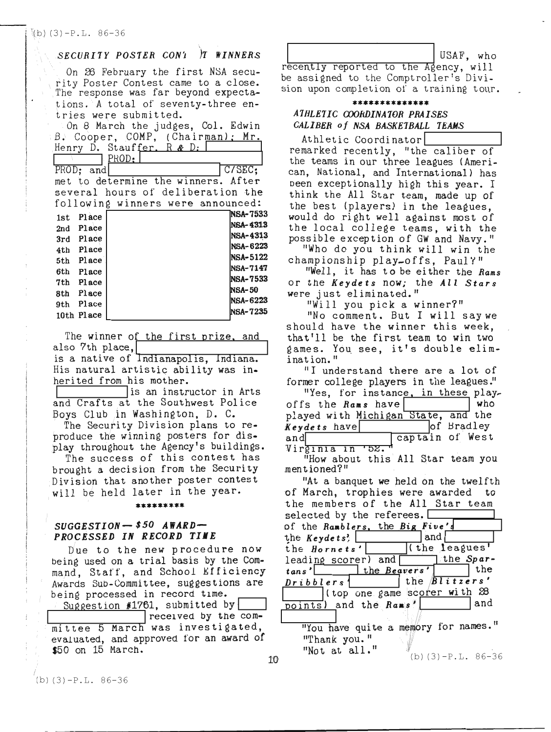#### *SECURITY POSTER CON'L T WINNERS*

,

On 26 February the first NSA security Poster Contest came to a close. The response was far beyond expectations. A total of seventy-three entries were submitted.

On 8 March the judges, Col. Edwin B. Cooper, COMP, (Chairman); Mr. Henry D. Stauffer. R & D: <sup>1</sup> 1\ rPH.:..:::.O=..lD.~----'1--=-.-==-:,.......J PROD; and C/SEC; met to determine the winners. After several hours of deliberation the following winners were announced:  $1st$  Place  $NSA-7533$  $\begin{array}{c|c}\n\text{2nd} & \text{Place} \\
\text{2nd} & \text{D} & \text{D} \\
\end{array}$  $3rd$  Place  $NSA-4313$ <br> $NSA-6223$ 4th Place  $\begin{array}{c} \text{NSA-0223} \\ \text{NSA-5122} \end{array}$ 5th Place  $\begin{array}{c} \text{NSA-5122} \\ \text{NSA-7147} \end{array}$ 6th Place  $\begin{array}{c} \text{NSA-7533} \\ \text{NSA-7533} \end{array}$  $7th$  Place  $NSA-50$ <br> $NSA-50$  $8th$  Place  $NSA-6223$ 9th Place  $\begin{array}{c} \text{NSA-0223} \\ \text{NSA-7235} \end{array}$ 10th Place

The winner of the first prize, and also 7th place, is a native of Indianapolis, Indiana.

His natural artistic ability was inherited from his mother.<br> $\sqrt{\frac{1}{10}}$  is an instructor in Arts

and Crafts at the Southwest Police Boys Club in Washington, D. C.

The Security Division plans to reproduce the winning posters for display throughout the Agency's buildings.

The success of this contest has brought a decision from the Security Division that another poster contest will be held later in the year.

#### \*\*\*\*\*\*\*\*\*

#### *SUGGESTION- \$50 AWARD-PROCESSED IN RECORD TIME*

Due to the new procedure now being used on a trial basis by the Command, Staff, and School Efficiency Awards SUb-Committee, suggestions are being processed in record tlme.

Suggestion #1761, submitted by |<br>| received by the committee 5 March was investigated, evaluated, and approved for an award of \$50 on 15 March.

USAF, who recently reported to the Agency, will be assigned to the Comptroller's Division upon completion of a training tour.

#### \*\*\*\*\*\*\*\*\*\*\*\* *ATHLEI1CCQORDINATOR PRAISES CALIBER of N8ABASKETBALL TEAMS*

Athletic Coordinator<br>
remarked recently, "the caliber of the teams in our three leagues (American, National, and International) has been exceptionally high this year. I think the All Star team, made up of the best (players) in the leagues, would do right well against most of the local college teams, with the possible exception of GW and Navy."

"Who do you think will win the championship play-offs, PauI't"

"Well, it has to be ei ther the *Rams* or the *Keydets* now; the *All Stars*

were just el imi na ted. " "Will you pick <sup>a</sup> winner?"

"No comment. But I will saywe should have the winner this week, that'll be the first team to win two games. You see, it's double elimination."

"I understand there are a lot of former college players in the leagues."

|                                     | "Yes, for instance, in these play- |
|-------------------------------------|------------------------------------|
| offs the Rams have                  | who                                |
| played with Michigan State, and the |                                    |
| Keydets have                        | of Bradley                         |
| and                                 | captain of West                    |
| Virginia in '52.                    |                                    |

"How about this All Star team you men t ioned?"

10  $\frac{100 \text{ g}}{10}$  (b) (3)-P.L. 86-36 "At a banquet we neld on the twelfth of March, trophies were awarded to the members of the All Star team<br>selected by the referees.<br>of the *Ramblers*, the Big Five's<br>the *Keydets*? the *Keydets*? 1 and<br>the *Hornets'* (the leagues' leading scorer) and the *Spartans'* the *Beavers'* the *Dribblers* | the *Blitzers'*  $1$ (top one game scorer with  $28$ )<br>and the  $Ba = s$ <sup>'</sup> points) and the *Rams'*  $"You have quite a memory for names."$ "Thank you. " "Not at all."

 $(b)$  (3)  $-P.L. 86-36$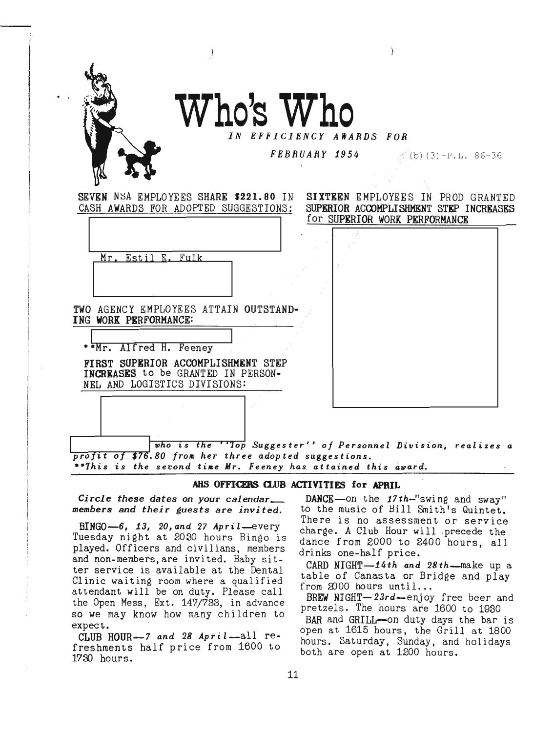

: .

. .

# Who's Who

## *IN EFFICIENCY*

 $\bf{FEBRUARY \ 1954}$   $\langle$  (b) (3) -P.L. 86-36

SEVEN NSA EMPLOYEES SHARE \$221.80 IN CASH AWARDS FOR ADOPTED SUGGESTIONS:

SIXTEEN EMPLOYEES IN PROD GRANTED SUPERIOR ACCOMPLISHMENT STEP INCREASES for SUPERIOR WORK PERFORMANCE

| Mr. Estil E. Fulk                                                                                        |                                                                |  |  |  |
|----------------------------------------------------------------------------------------------------------|----------------------------------------------------------------|--|--|--|
| TWO AGENCY EMPLOYEES ATTAIN OUTSTAND-<br>ING WORK PERFORMANCE:                                           |                                                                |  |  |  |
| **Mr. Alfred H. Feeney                                                                                   |                                                                |  |  |  |
| FIRST SUPERIOR ACCOMPLISHMENT STEP<br>INCREASES to be GRANTED IN PERSON-<br>NEL AND LOGISTICS DIVISIONS: |                                                                |  |  |  |
|                                                                                                          |                                                                |  |  |  |
|                                                                                                          | who is the ''lop Suggester'' of Personnel Division, realizes a |  |  |  |

AHS OFFICERS CLUB ACTIVITIES for APRIL

*three adopted suggestions.*

*Mr. Feeney has attained this award.*

BINGO-6, 1.3, *20, and* 27 *Apri* l--every Tuesday night at 2030 hours Bingo is played. Officers and civilians, members and non-members, are invited. Baby sitter service is available at the Dental Clinic waiting room where a qualified attendant will be on duty. Please call the Open Mess, Ext. 147/733, in advance so we may know how many children to expect. .

CLUB HOUR-7 *and* <sup>28</sup> *Apri* I-all refreshments half price from 1600 to 172D hours.

*Circle these dates* on *your calendar\_* DANCE-on the 17th-"swing and sway" *members and their guests are invited.* to the music of Hill Smith's Quintet. There is no assessment or service charge. A Club Hour will ,precede the dance from 2000 to 2400 hours, all drinks one-half price.

> CARD NIGHT-14th *and* 28th--make up a table of Canasta or Bridge and play from  $2000$  hours until...

> BREW NIGHT- $23rd$ -enjoy free beer and pretzels. The hours are 1600 to 1930

> BAR and GRILL--on duty days the bar is *open* at 1615 hours, the Grill at 1800 hours. Saturday, Sunday, and holidays both are open at 1200 hours.